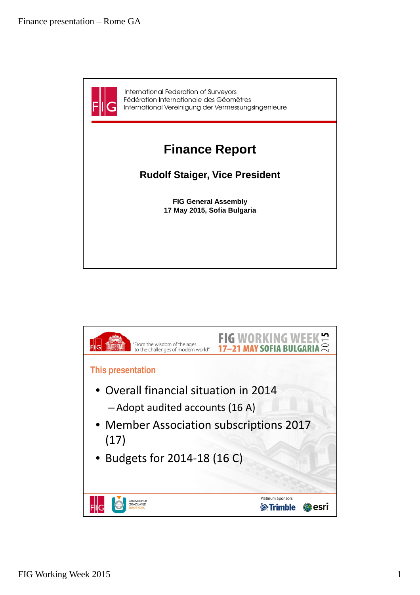

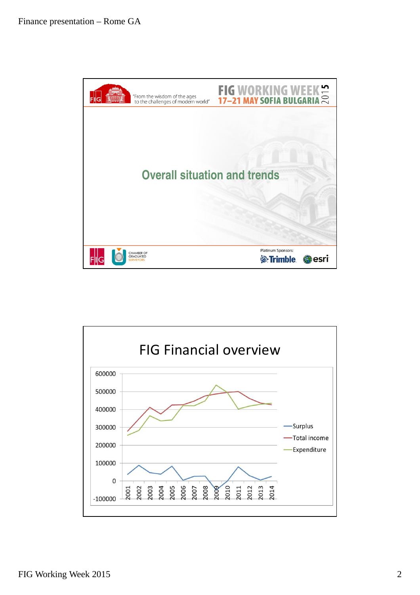

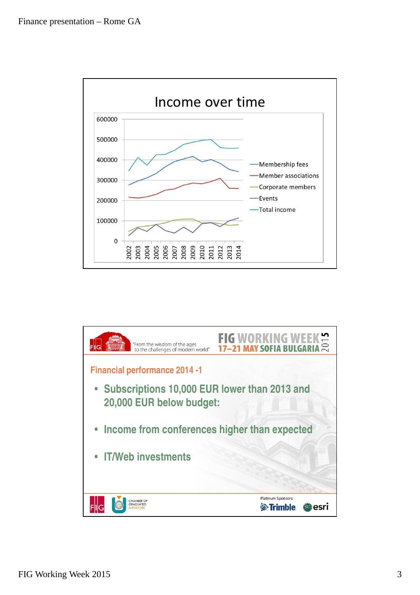

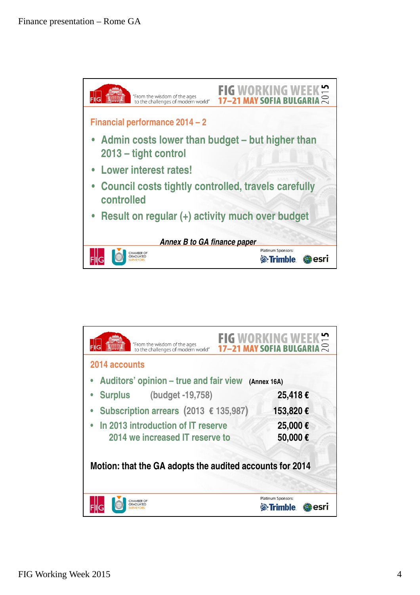

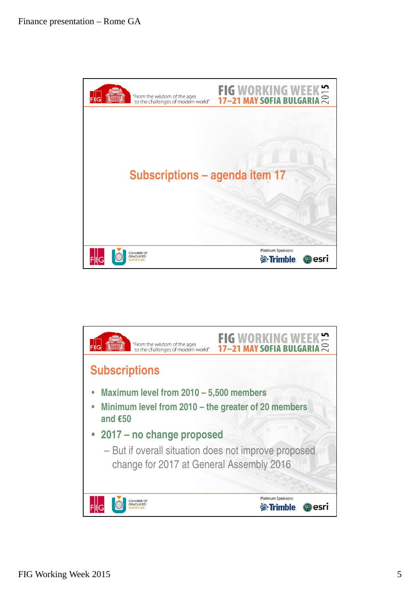

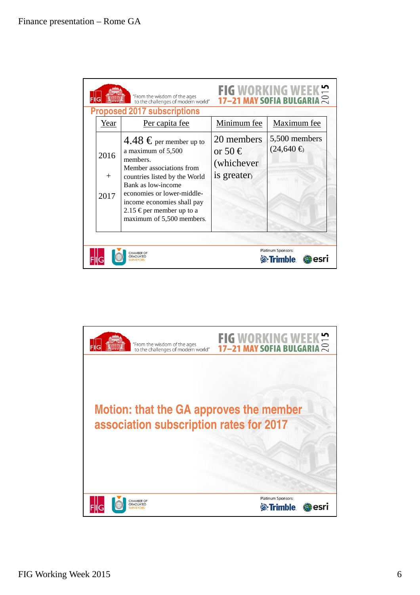

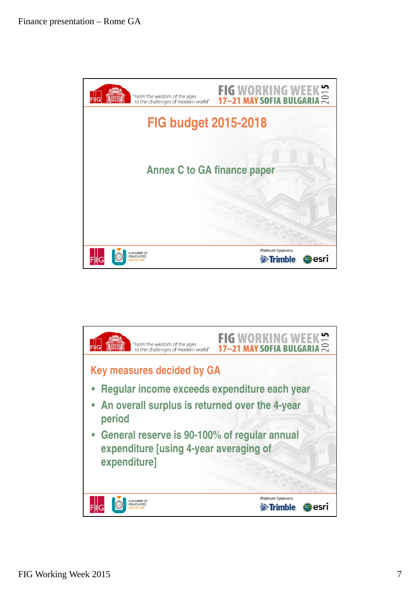

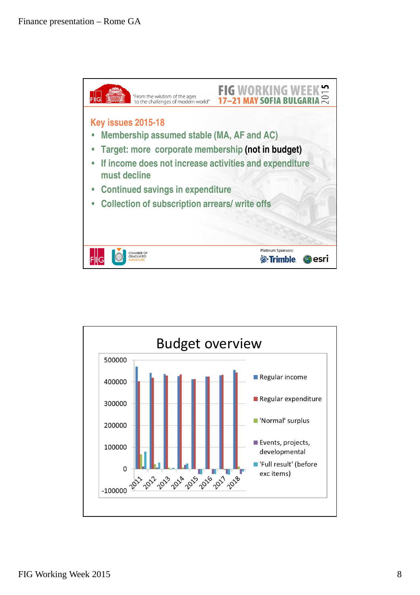

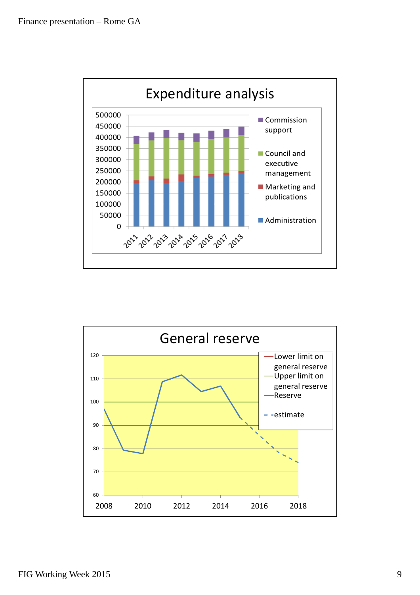

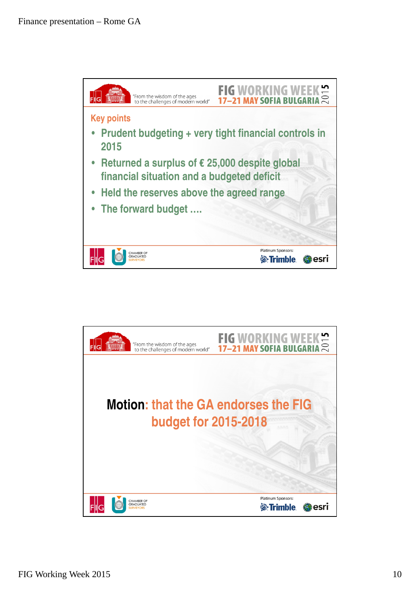